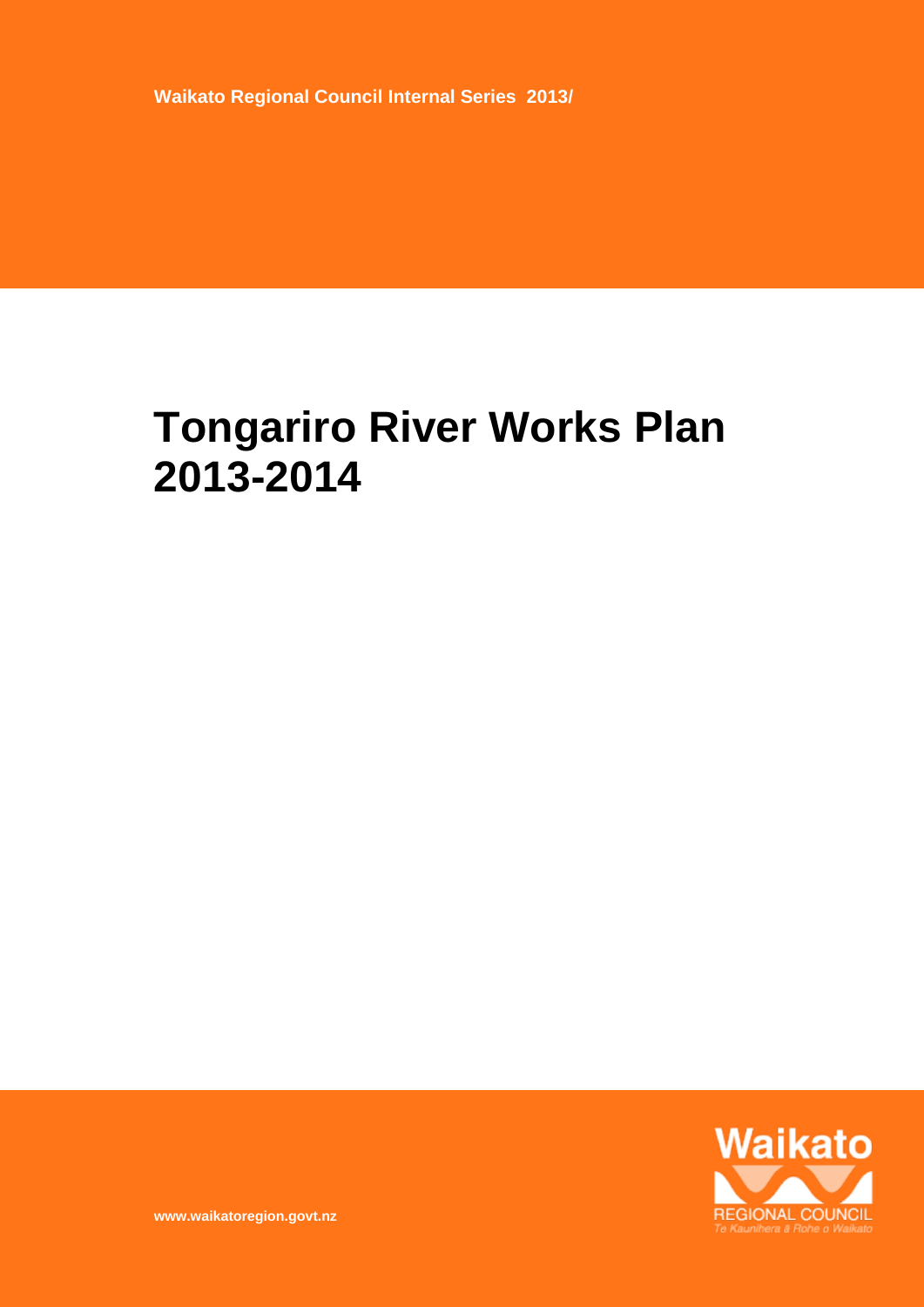**Waikato Regional Council Internal Series 2013/**

# **Tongariro River Works Plan 2013-2014**



**www.waikatoregion.govt.nz**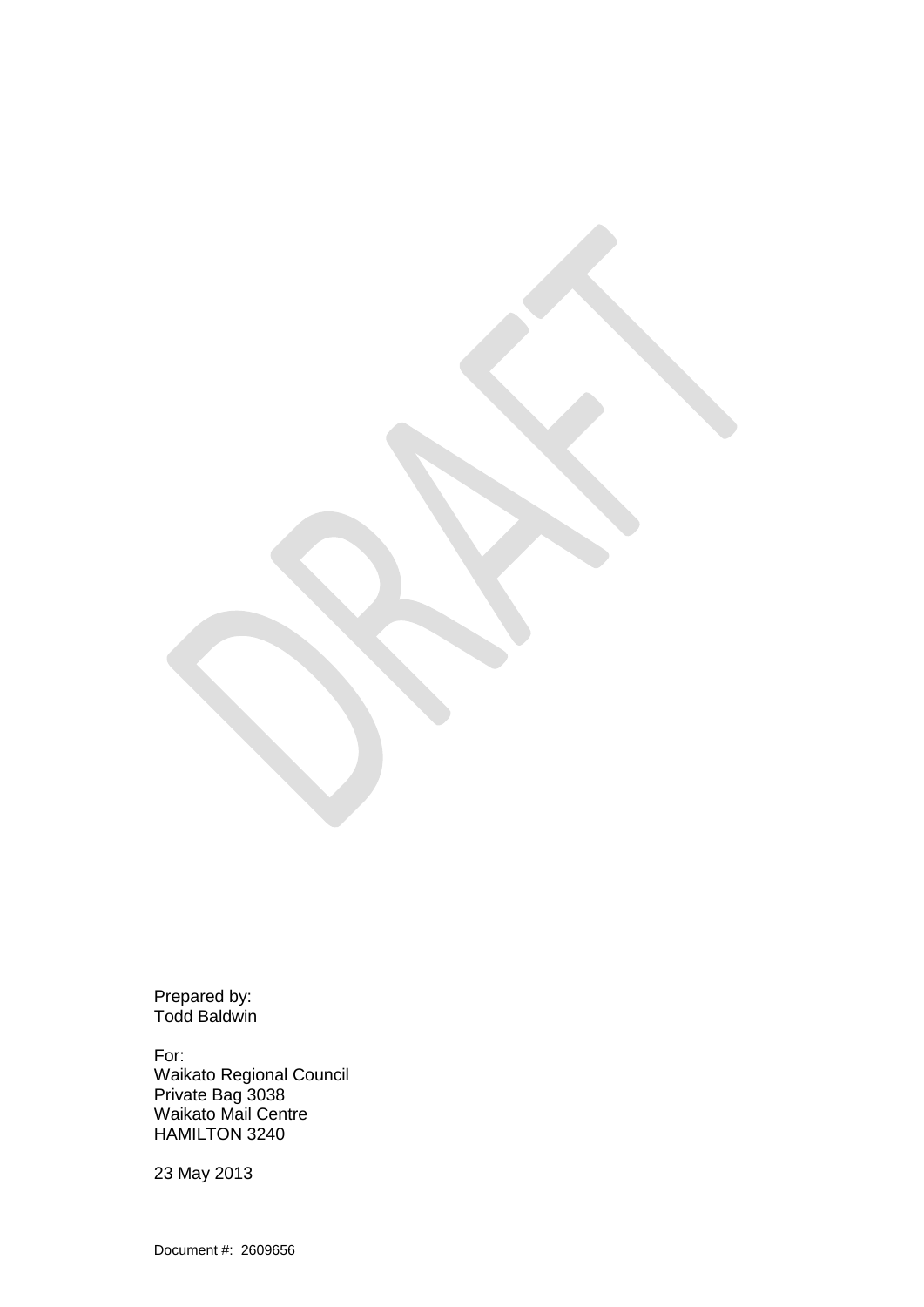Prepared by: Todd Baldwin

For: Waikato Regional Council Private Bag 3038 Waikato Mail Centre HAMILTON 3240

23 May 2013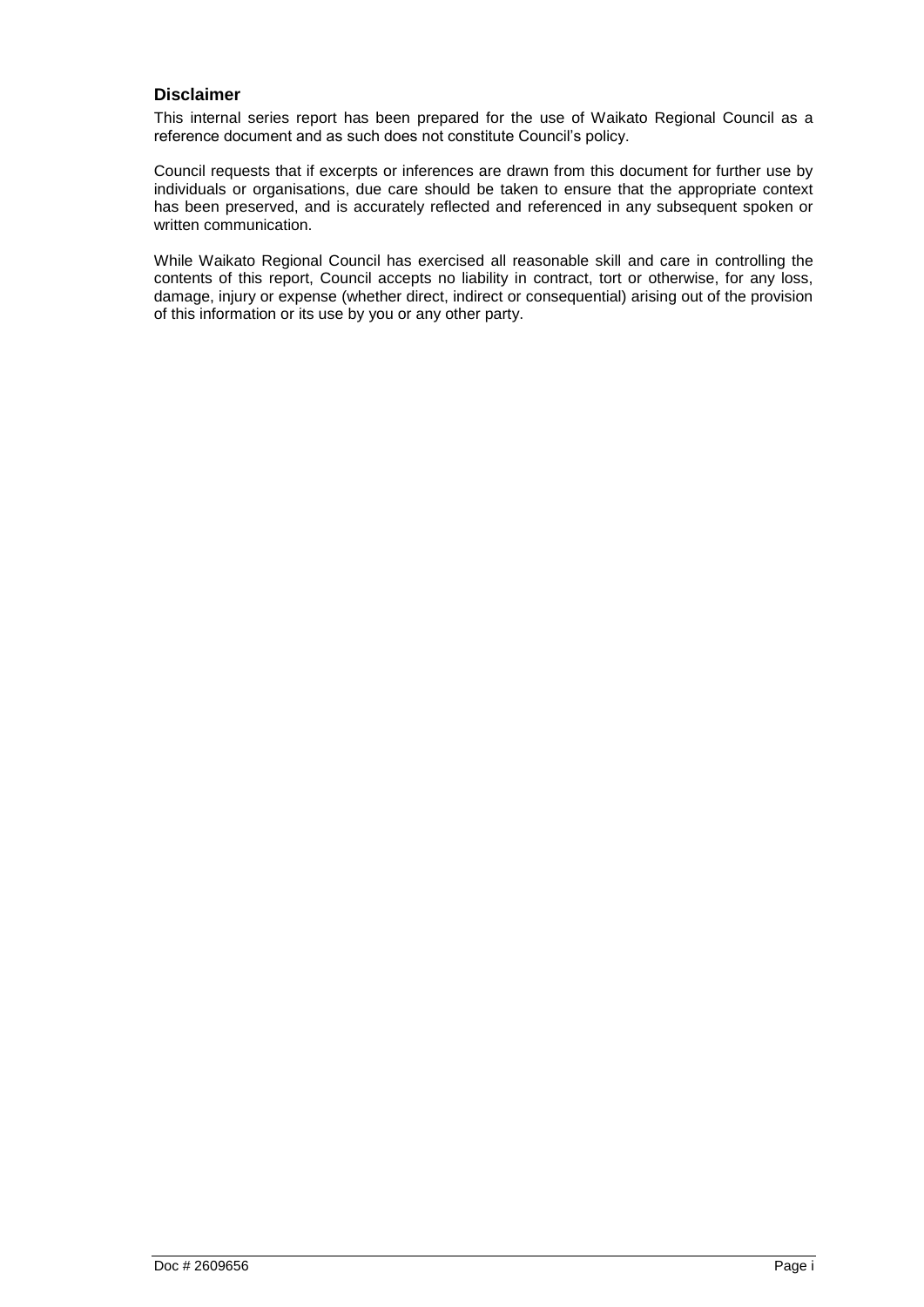#### **Disclaimer**

This internal series report has been prepared for the use of Waikato Regional Council as a reference document and as such does not constitute Council"s policy.

Council requests that if excerpts or inferences are drawn from this document for further use by individuals or organisations, due care should be taken to ensure that the appropriate context has been preserved, and is accurately reflected and referenced in any subsequent spoken or written communication.

While Waikato Regional Council has exercised all reasonable skill and care in controlling the contents of this report, Council accepts no liability in contract, tort or otherwise, for any loss, damage, injury or expense (whether direct, indirect or consequential) arising out of the provision of this information or its use by you or any other party.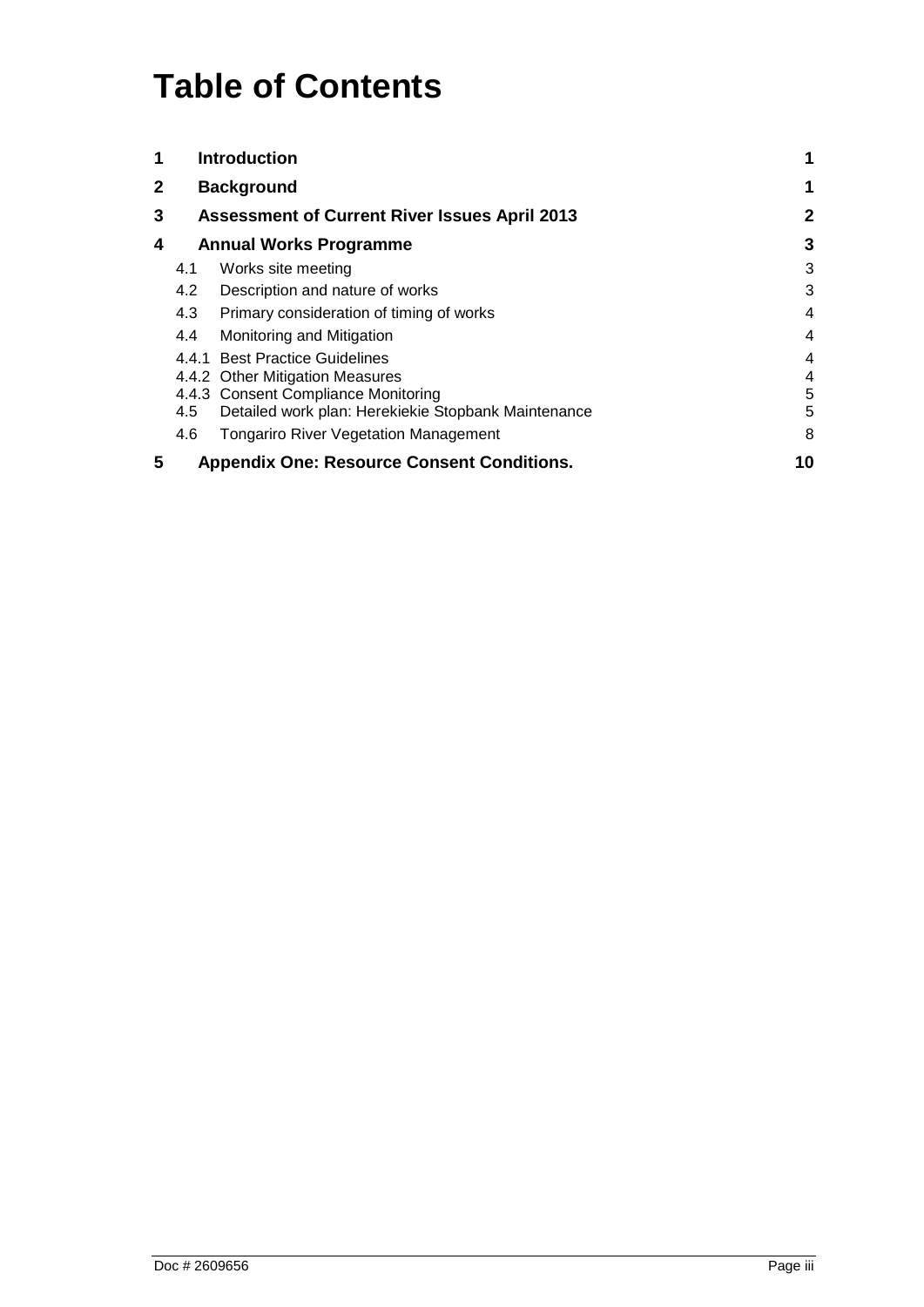# **Table of Contents**

| 1            |                                                   | <b>Introduction</b>                                  |              |
|--------------|---------------------------------------------------|------------------------------------------------------|--------------|
| $\mathbf{2}$ |                                                   | <b>Background</b>                                    | 1            |
| 3            |                                                   | <b>Assessment of Current River Issues April 2013</b> | $\mathbf{2}$ |
| 4            | <b>Annual Works Programme</b>                     |                                                      | 3            |
|              | 4.1                                               | Works site meeting                                   | 3            |
|              | 4.2                                               | Description and nature of works                      | 3            |
|              | 4.3                                               | Primary consideration of timing of works             | 4            |
|              | 4.4                                               | Monitoring and Mitigation                            | 4            |
|              | 441                                               | <b>Best Practice Guidelines</b>                      | 4            |
|              |                                                   | 4.4.2 Other Mitigation Measures                      | 4            |
|              |                                                   | 4.4.3 Consent Compliance Monitoring                  | 5            |
|              | 4.5                                               | Detailed work plan: Herekiekie Stopbank Maintenance  | 5            |
|              | 4.6                                               | <b>Tongariro River Vegetation Management</b>         | 8            |
| 5            | <b>Appendix One: Resource Consent Conditions.</b> |                                                      | 10           |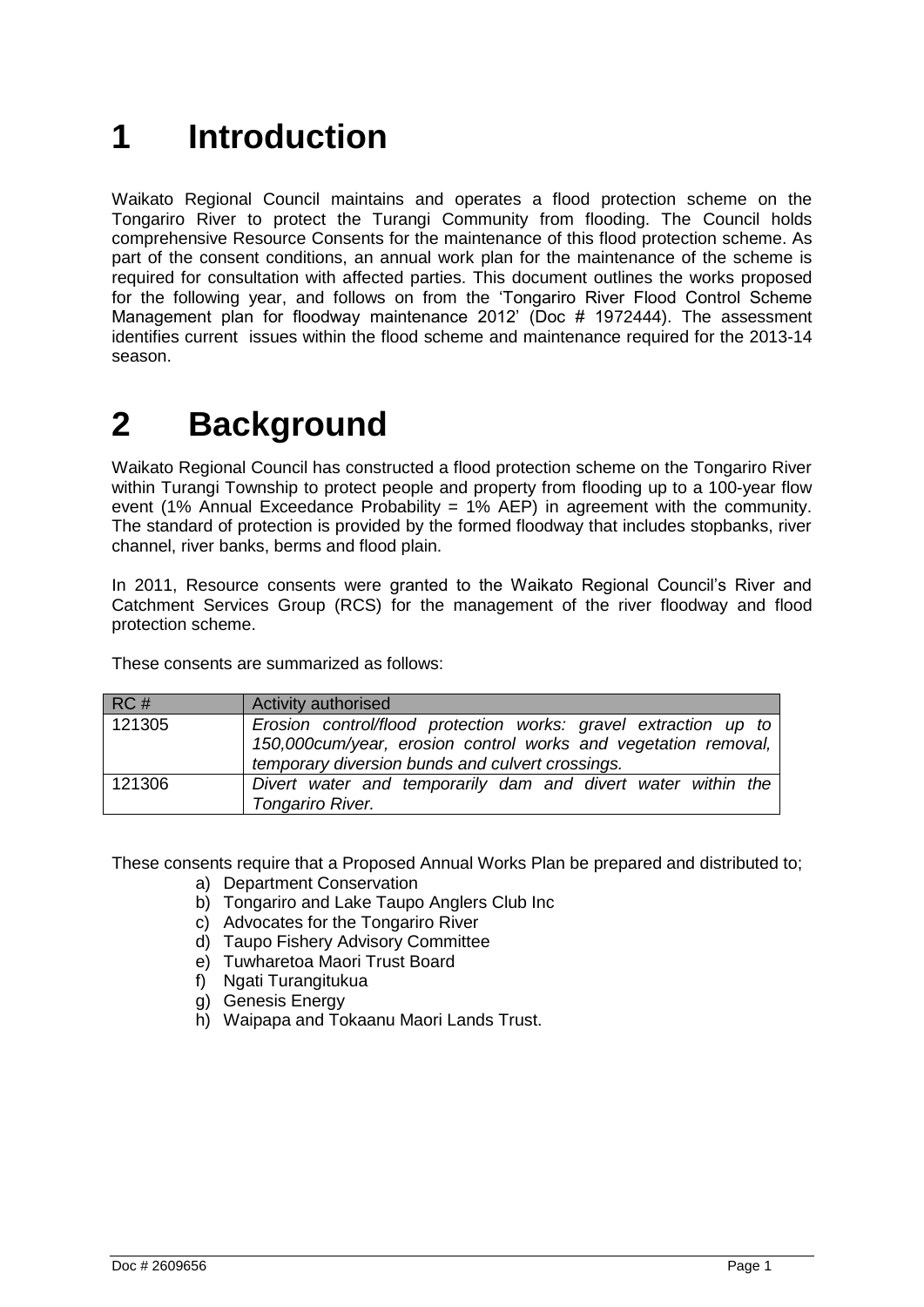# <span id="page-8-0"></span>**1 Introduction**

Waikato Regional Council maintains and operates a flood protection scheme on the Tongariro River to protect the Turangi Community from flooding. The Council holds comprehensive Resource Consents for the maintenance of this flood protection scheme. As part of the consent conditions, an annual work plan for the maintenance of the scheme is required for consultation with affected parties. This document outlines the works proposed for the following year, and follows on from the "Tongariro River Flood Control Scheme Management plan for floodway maintenance 2012" (Doc # 1972444). The assessment identifies current issues within the flood scheme and maintenance required for the 2013-14 season.

# <span id="page-8-1"></span>**2 Background**

Waikato Regional Council has constructed a flood protection scheme on the Tongariro River within Turangi Township to protect people and property from flooding up to a 100-year flow event (1% Annual Exceedance Probability = 1% AEP) in agreement with the community. The standard of protection is provided by the formed floodway that includes stopbanks, river channel, river banks, berms and flood plain.

In 2011, Resource consents were granted to the Waikato Regional Council's River and Catchment Services Group (RCS) for the management of the river floodway and flood protection scheme.

These consents are summarized as follows:

| RC#    | <b>Activity authorised</b>                                                                                                                                                            |
|--------|---------------------------------------------------------------------------------------------------------------------------------------------------------------------------------------|
| 121305 | Erosion control/flood protection works: gravel extraction up to<br>150,000cum/year, erosion control works and vegetation removal,<br>temporary diversion bunds and culvert crossings. |
| 121306 | Divert water and temporarily dam and divert water within the<br>Tongariro River.                                                                                                      |

These consents require that a Proposed Annual Works Plan be prepared and distributed to;

- a) Department Conservation
- b) Tongariro and Lake Taupo Anglers Club Inc
- c) Advocates for the Tongariro River
- d) Taupo Fishery Advisory Committee
- e) Tuwharetoa Maori Trust Board
- f) Ngati Turangitukua
- g) Genesis Energy
- h) Waipapa and Tokaanu Maori Lands Trust.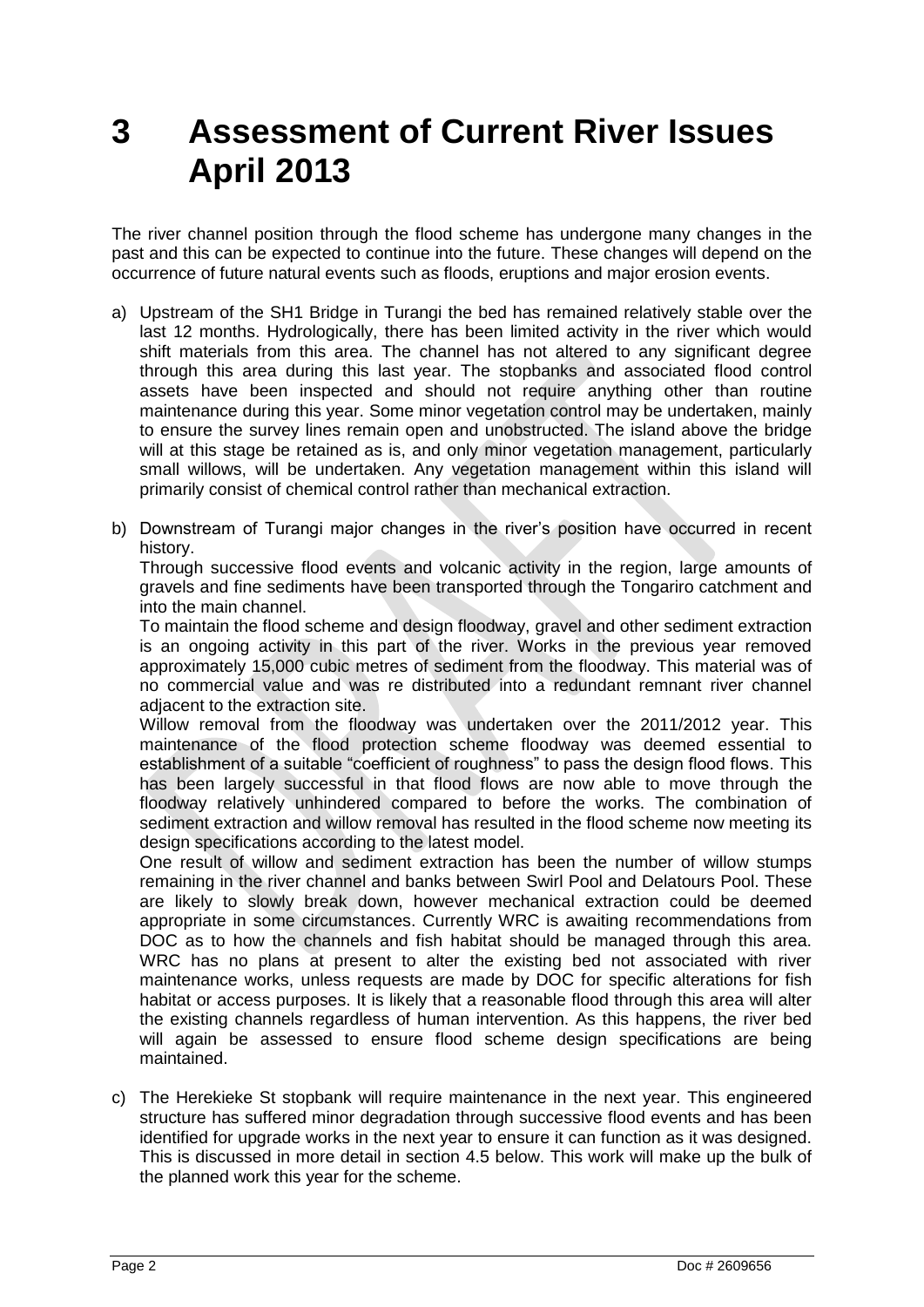# <span id="page-9-0"></span>**3 Assessment of Current River Issues April 2013**

The river channel position through the flood scheme has undergone many changes in the past and this can be expected to continue into the future. These changes will depend on the occurrence of future natural events such as floods, eruptions and major erosion events.

- a) Upstream of the SH1 Bridge in Turangi the bed has remained relatively stable over the last 12 months. Hydrologically, there has been limited activity in the river which would shift materials from this area. The channel has not altered to any significant degree through this area during this last year. The stopbanks and associated flood control assets have been inspected and should not require anything other than routine maintenance during this year. Some minor vegetation control may be undertaken, mainly to ensure the survey lines remain open and unobstructed. The island above the bridge will at this stage be retained as is, and only minor vegetation management, particularly small willows, will be undertaken. Any vegetation management within this island will primarily consist of chemical control rather than mechanical extraction.
- b) Downstream of Turangi major changes in the river"s position have occurred in recent history.

Through successive flood events and volcanic activity in the region, large amounts of gravels and fine sediments have been transported through the Tongariro catchment and into the main channel.

To maintain the flood scheme and design floodway, gravel and other sediment extraction is an ongoing activity in this part of the river. Works in the previous year removed approximately 15,000 cubic metres of sediment from the floodway. This material was of no commercial value and was re distributed into a redundant remnant river channel adjacent to the extraction site.

Willow removal from the floodway was undertaken over the 2011/2012 year. This maintenance of the flood protection scheme floodway was deemed essential to establishment of a suitable "coefficient of roughness" to pass the design flood flows. This has been largely successful in that flood flows are now able to move through the floodway relatively unhindered compared to before the works. The combination of sediment extraction and willow removal has resulted in the flood scheme now meeting its design specifications according to the latest model.

One result of willow and sediment extraction has been the number of willow stumps remaining in the river channel and banks between Swirl Pool and Delatours Pool. These are likely to slowly break down, however mechanical extraction could be deemed appropriate in some circumstances. Currently WRC is awaiting recommendations from DOC as to how the channels and fish habitat should be managed through this area. WRC has no plans at present to alter the existing bed not associated with river maintenance works, unless requests are made by DOC for specific alterations for fish habitat or access purposes. It is likely that a reasonable flood through this area will alter the existing channels regardless of human intervention. As this happens, the river bed will again be assessed to ensure flood scheme design specifications are being maintained.

c) The Herekieke St stopbank will require maintenance in the next year. This engineered structure has suffered minor degradation through successive flood events and has been identified for upgrade works in the next year to ensure it can function as it was designed. This is discussed in more detail in section 4.5 below. This work will make up the bulk of the planned work this year for the scheme.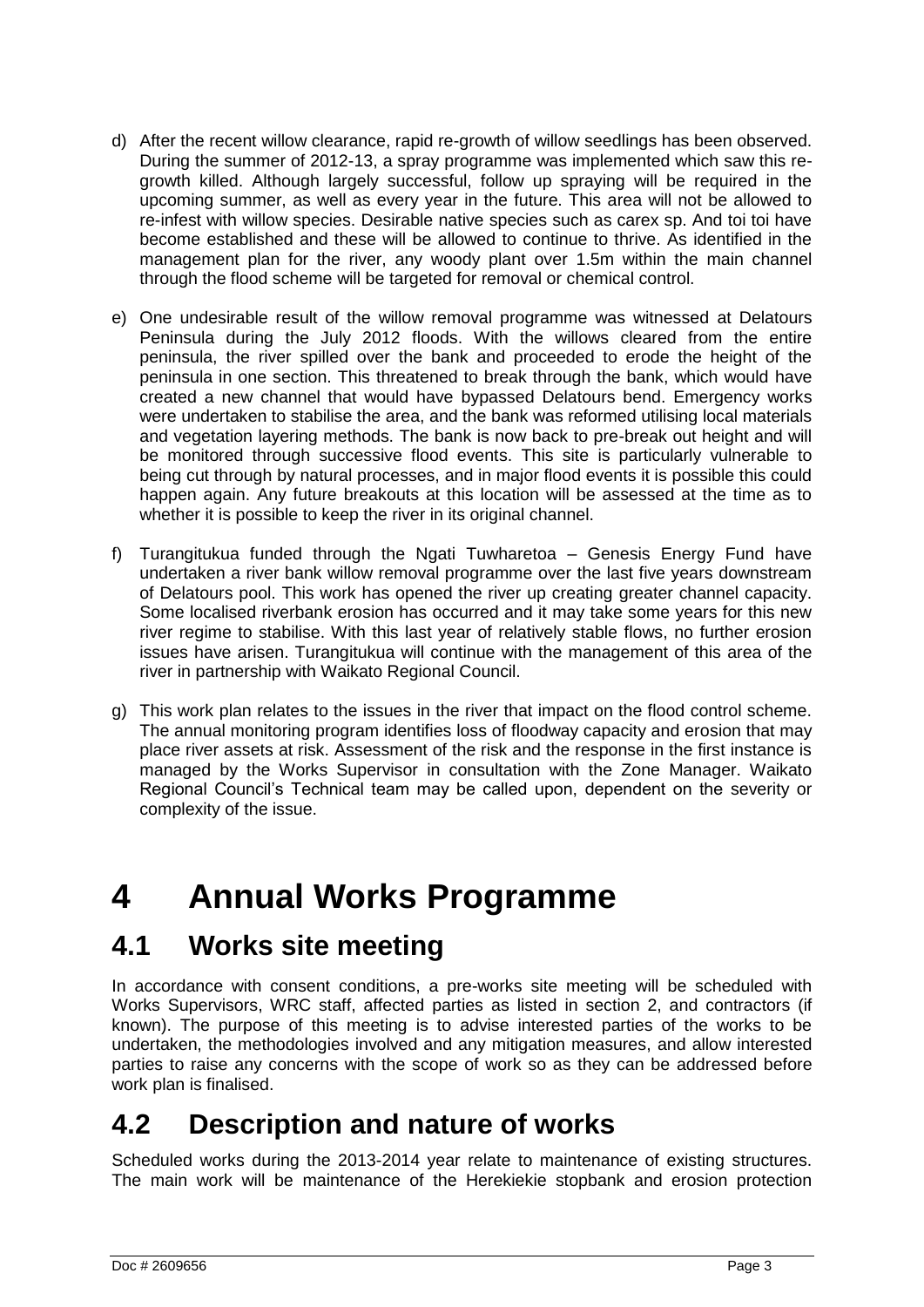- d) After the recent willow clearance, rapid re-growth of willow seedlings has been observed. During the summer of 2012-13, a spray programme was implemented which saw this regrowth killed. Although largely successful, follow up spraying will be required in the upcoming summer, as well as every year in the future. This area will not be allowed to re-infest with willow species. Desirable native species such as carex sp. And toi toi have become established and these will be allowed to continue to thrive. As identified in the management plan for the river, any woody plant over 1.5m within the main channel through the flood scheme will be targeted for removal or chemical control.
- e) One undesirable result of the willow removal programme was witnessed at Delatours Peninsula during the July 2012 floods. With the willows cleared from the entire peninsula, the river spilled over the bank and proceeded to erode the height of the peninsula in one section. This threatened to break through the bank, which would have created a new channel that would have bypassed Delatours bend. Emergency works were undertaken to stabilise the area, and the bank was reformed utilising local materials and vegetation layering methods. The bank is now back to pre-break out height and will be monitored through successive flood events. This site is particularly vulnerable to being cut through by natural processes, and in major flood events it is possible this could happen again. Any future breakouts at this location will be assessed at the time as to whether it is possible to keep the river in its original channel.
- f) Turangitukua funded through the Ngati Tuwharetoa Genesis Energy Fund have undertaken a river bank willow removal programme over the last five years downstream of Delatours pool. This work has opened the river up creating greater channel capacity. Some localised riverbank erosion has occurred and it may take some years for this new river regime to stabilise. With this last year of relatively stable flows, no further erosion issues have arisen. Turangitukua will continue with the management of this area of the river in partnership with Waikato Regional Council.
- g) This work plan relates to the issues in the river that impact on the flood control scheme. The annual monitoring program identifies loss of floodway capacity and erosion that may place river assets at risk. Assessment of the risk and the response in the first instance is managed by the Works Supervisor in consultation with the Zone Manager. Waikato Regional Council"s Technical team may be called upon, dependent on the severity or complexity of the issue.

# <span id="page-10-0"></span>**4 Annual Works Programme**

## <span id="page-10-1"></span>**4.1 Works site meeting**

In accordance with consent conditions, a pre-works site meeting will be scheduled with Works Supervisors, WRC staff, affected parties as listed in section 2, and contractors (if known). The purpose of this meeting is to advise interested parties of the works to be undertaken, the methodologies involved and any mitigation measures, and allow interested parties to raise any concerns with the scope of work so as they can be addressed before work plan is finalised.

## <span id="page-10-2"></span>**4.2 Description and nature of works**

Scheduled works during the 2013-2014 year relate to maintenance of existing structures. The main work will be maintenance of the Herekiekie stopbank and erosion protection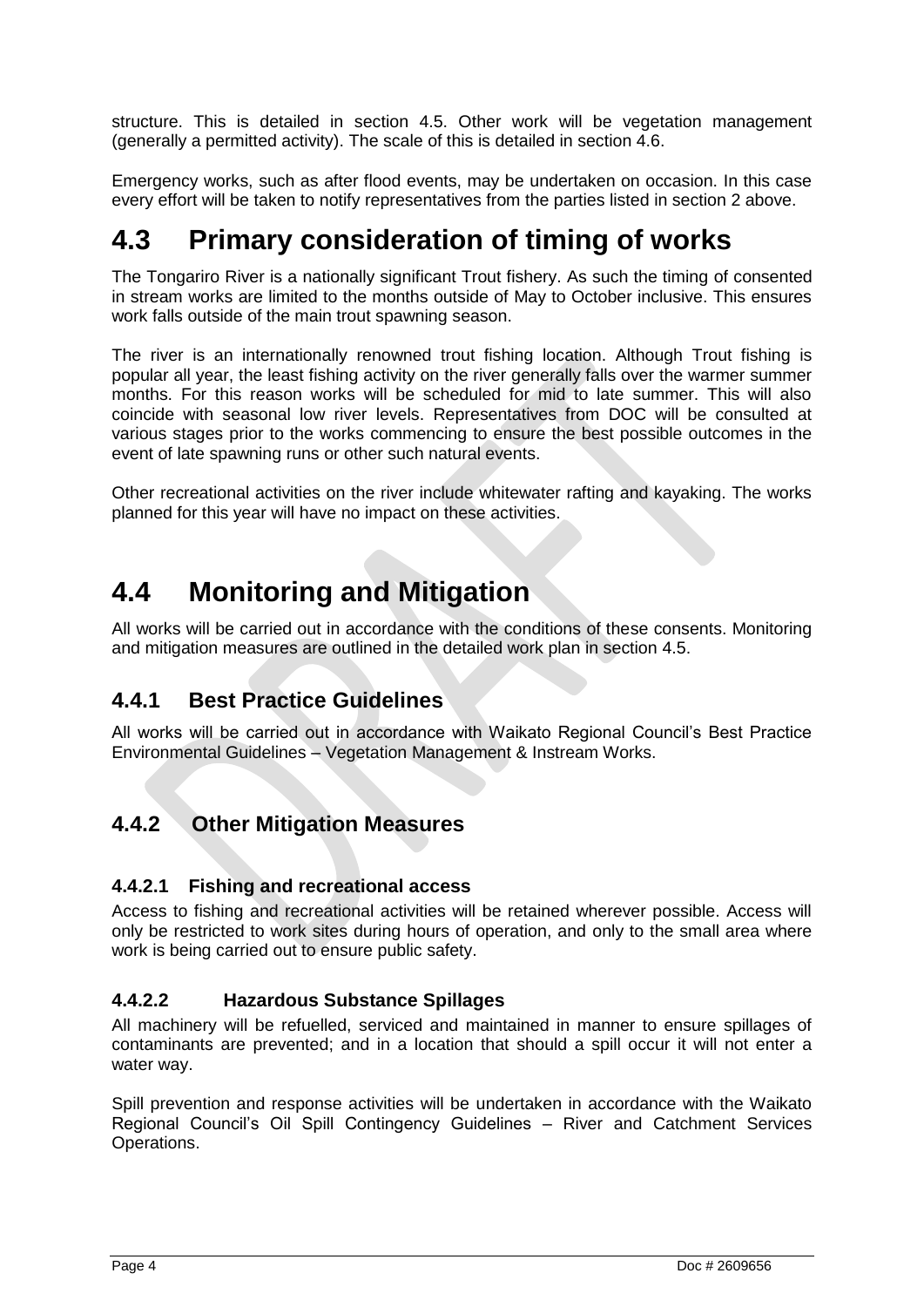structure. This is detailed in section 4.5. Other work will be vegetation management (generally a permitted activity). The scale of this is detailed in section 4.6.

Emergency works, such as after flood events, may be undertaken on occasion. In this case every effort will be taken to notify representatives from the parties listed in section 2 above.

## <span id="page-11-0"></span>**4.3 Primary consideration of timing of works**

The Tongariro River is a nationally significant Trout fishery. As such the timing of consented in stream works are limited to the months outside of May to October inclusive. This ensures work falls outside of the main trout spawning season.

The river is an internationally renowned trout fishing location. Although Trout fishing is popular all year, the least fishing activity on the river generally falls over the warmer summer months. For this reason works will be scheduled for mid to late summer. This will also coincide with seasonal low river levels. Representatives from DOC will be consulted at various stages prior to the works commencing to ensure the best possible outcomes in the event of late spawning runs or other such natural events.

Other recreational activities on the river include whitewater rafting and kayaking. The works planned for this year will have no impact on these activities.

## <span id="page-11-1"></span>**4.4 Monitoring and Mitigation**

All works will be carried out in accordance with the conditions of these consents. Monitoring and mitigation measures are outlined in the detailed work plan in section 4.5.

### <span id="page-11-2"></span>**4.4.1 Best Practice Guidelines**

All works will be carried out in accordance with Waikato Regional Council"s Best Practice Environmental Guidelines – Vegetation Management & Instream Works.

### <span id="page-11-3"></span>**4.4.2 Other Mitigation Measures**

### **4.4.2.1 Fishing and recreational access**

Access to fishing and recreational activities will be retained wherever possible. Access will only be restricted to work sites during hours of operation, and only to the small area where work is being carried out to ensure public safety.

### **4.4.2.2 Hazardous Substance Spillages**

All machinery will be refuelled, serviced and maintained in manner to ensure spillages of contaminants are prevented; and in a location that should a spill occur it will not enter a water way.

Spill prevention and response activities will be undertaken in accordance with the Waikato Regional Council"s Oil Spill Contingency Guidelines – River and Catchment Services Operations.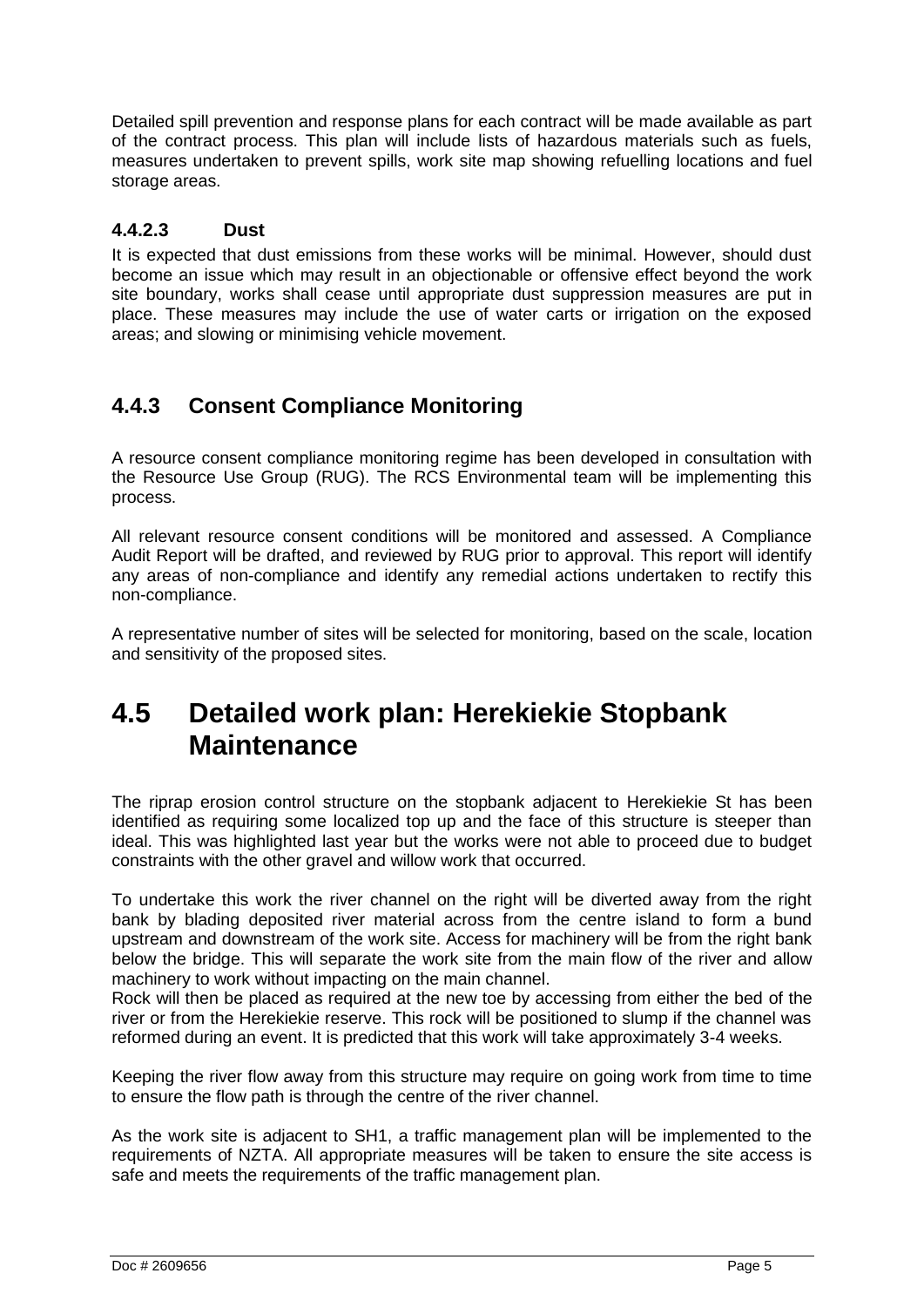Detailed spill prevention and response plans for each contract will be made available as part of the contract process. This plan will include lists of hazardous materials such as fuels, measures undertaken to prevent spills, work site map showing refuelling locations and fuel storage areas.

### **4.4.2.3 Dust**

It is expected that dust emissions from these works will be minimal. However, should dust become an issue which may result in an objectionable or offensive effect beyond the work site boundary, works shall cease until appropriate dust suppression measures are put in place. These measures may include the use of water carts or irrigation on the exposed areas; and slowing or minimising vehicle movement.

### <span id="page-12-0"></span>**4.4.3 Consent Compliance Monitoring**

A resource consent compliance monitoring regime has been developed in consultation with the Resource Use Group (RUG). The RCS Environmental team will be implementing this process.

All relevant resource consent conditions will be monitored and assessed. A Compliance Audit Report will be drafted, and reviewed by RUG prior to approval. This report will identify any areas of non-compliance and identify any remedial actions undertaken to rectify this non-compliance.

A representative number of sites will be selected for monitoring, based on the scale, location and sensitivity of the proposed sites.

## <span id="page-12-1"></span>**4.5 Detailed work plan: Herekiekie Stopbank Maintenance**

The riprap erosion control structure on the stopbank adjacent to Herekiekie St has been identified as requiring some localized top up and the face of this structure is steeper than ideal. This was highlighted last year but the works were not able to proceed due to budget constraints with the other gravel and willow work that occurred.

To undertake this work the river channel on the right will be diverted away from the right bank by blading deposited river material across from the centre island to form a bund upstream and downstream of the work site. Access for machinery will be from the right bank below the bridge. This will separate the work site from the main flow of the river and allow machinery to work without impacting on the main channel.

Rock will then be placed as required at the new toe by accessing from either the bed of the river or from the Herekiekie reserve. This rock will be positioned to slump if the channel was reformed during an event. It is predicted that this work will take approximately 3-4 weeks.

Keeping the river flow away from this structure may require on going work from time to time to ensure the flow path is through the centre of the river channel.

As the work site is adjacent to SH1, a traffic management plan will be implemented to the requirements of NZTA. All appropriate measures will be taken to ensure the site access is safe and meets the requirements of the traffic management plan.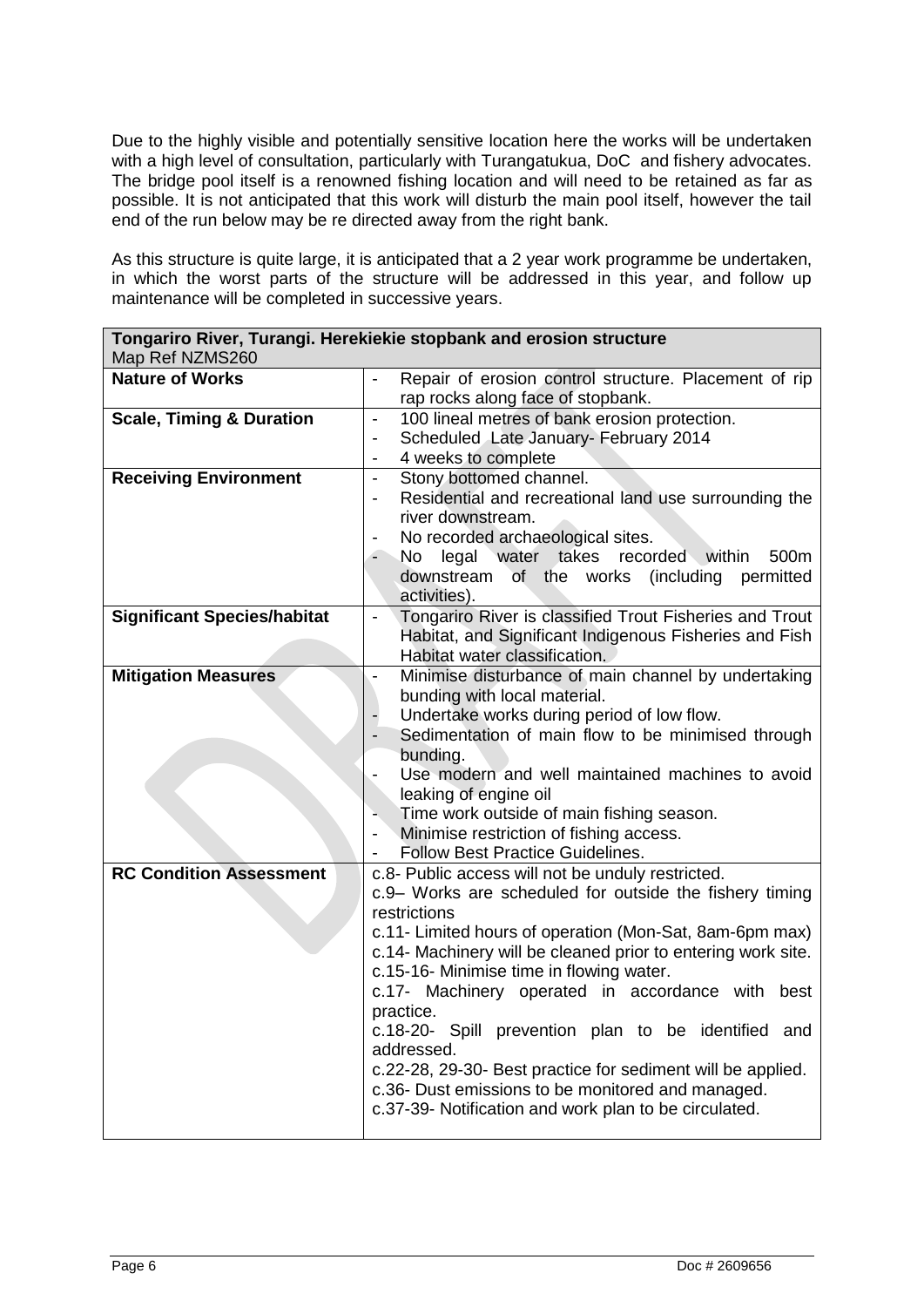Due to the highly visible and potentially sensitive location here the works will be undertaken with a high level of consultation, particularly with Turangatukua, DoC and fishery advocates. The bridge pool itself is a renowned fishing location and will need to be retained as far as possible. It is not anticipated that this work will disturb the main pool itself, however the tail end of the run below may be re directed away from the right bank.

As this structure is quite large, it is anticipated that a 2 year work programme be undertaken, in which the worst parts of the structure will be addressed in this year, and follow up maintenance will be completed in successive years.

| Tongariro River, Turangi. Herekiekie stopbank and erosion structure<br>Map Ref NZMS260 |                                                                                                                                                                                                                                                                                                                                                                                                                                                                                                                                                                                                                           |  |  |
|----------------------------------------------------------------------------------------|---------------------------------------------------------------------------------------------------------------------------------------------------------------------------------------------------------------------------------------------------------------------------------------------------------------------------------------------------------------------------------------------------------------------------------------------------------------------------------------------------------------------------------------------------------------------------------------------------------------------------|--|--|
| <b>Nature of Works</b>                                                                 | Repair of erosion control structure. Placement of rip<br>$\blacksquare$<br>rap rocks along face of stopbank.                                                                                                                                                                                                                                                                                                                                                                                                                                                                                                              |  |  |
| <b>Scale, Timing &amp; Duration</b>                                                    | 100 lineal metres of bank erosion protection.<br>$\blacksquare$<br>Scheduled Late January- February 2014<br>$\overline{\phantom{0}}$<br>4 weeks to complete                                                                                                                                                                                                                                                                                                                                                                                                                                                               |  |  |
| <b>Receiving Environment</b>                                                           | Stony bottomed channel.<br>$\blacksquare$<br>Residential and recreational land use surrounding the<br>$\overline{\phantom{a}}$<br>river downstream.<br>No recorded archaeological sites.<br>legal water takes recorded within<br>500m<br>No<br>downstream<br>of the works (including<br>permitted<br>activities).                                                                                                                                                                                                                                                                                                         |  |  |
| <b>Significant Species/habitat</b>                                                     | Tongariro River is classified Trout Fisheries and Trout<br>$\blacksquare$<br>Habitat, and Significant Indigenous Fisheries and Fish<br>Habitat water classification.                                                                                                                                                                                                                                                                                                                                                                                                                                                      |  |  |
| <b>Mitigation Measures</b>                                                             | Minimise disturbance of main channel by undertaking<br>bunding with local material.<br>Undertake works during period of low flow.<br>Sedimentation of main flow to be minimised through<br>bunding.<br>Use modern and well maintained machines to avoid<br>leaking of engine oil<br>Time work outside of main fishing season.<br>Minimise restriction of fishing access.<br>$\overline{\phantom{a}}$<br><b>Follow Best Practice Guidelines.</b>                                                                                                                                                                           |  |  |
| <b>RC Condition Assessment</b>                                                         | c.8- Public access will not be unduly restricted.<br>c.9- Works are scheduled for outside the fishery timing<br>restrictions<br>c.11- Limited hours of operation (Mon-Sat, 8am-6pm max)<br>c.14- Machinery will be cleaned prior to entering work site.<br>c.15-16- Minimise time in flowing water.<br>c.17- Machinery operated in accordance with<br>best<br>practice.<br>c.18-20- Spill prevention plan to be identified and<br>addressed.<br>c.22-28, 29-30- Best practice for sediment will be applied.<br>c.36- Dust emissions to be monitored and managed.<br>c.37-39- Notification and work plan to be circulated. |  |  |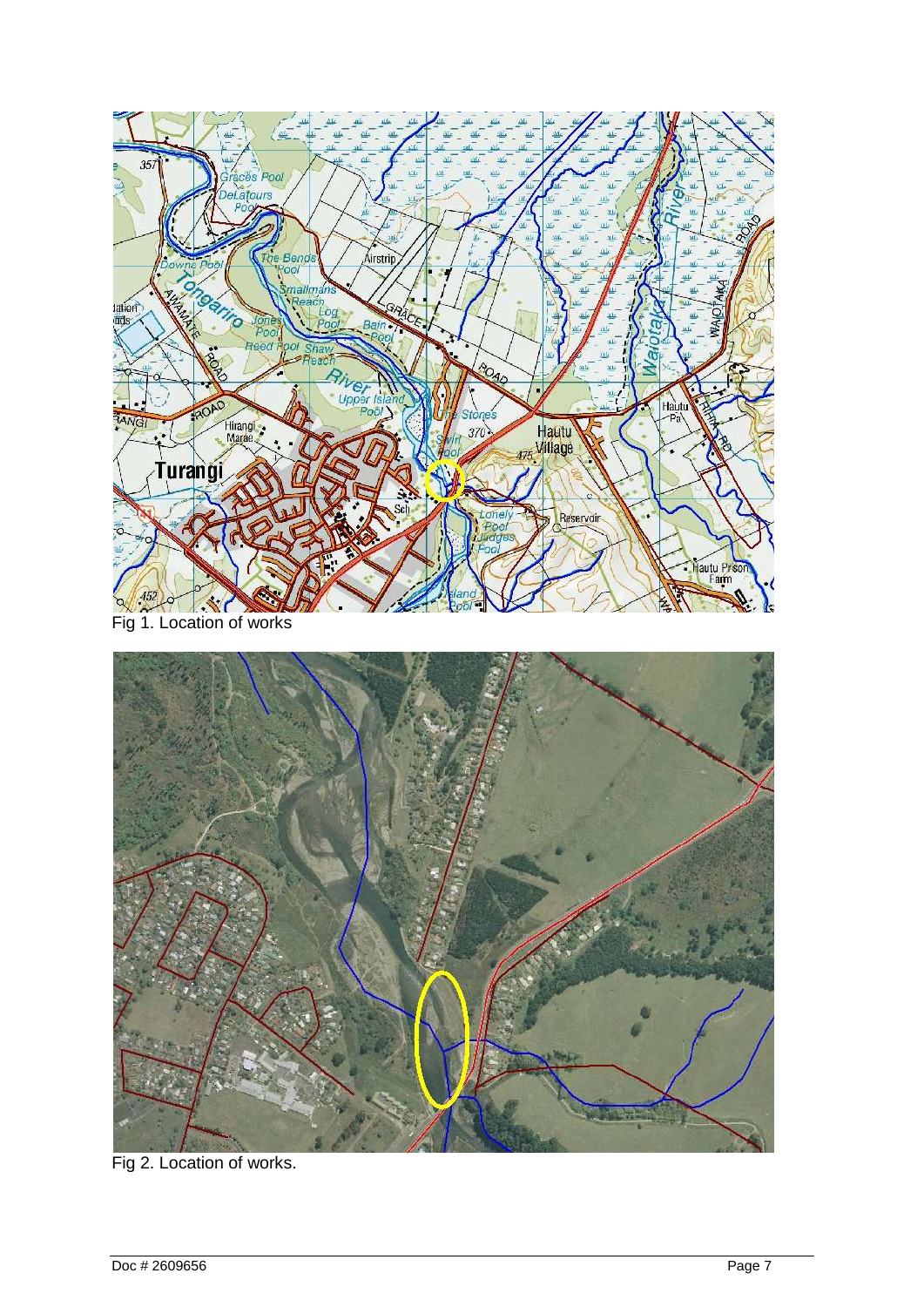



Fig 2. Location of works.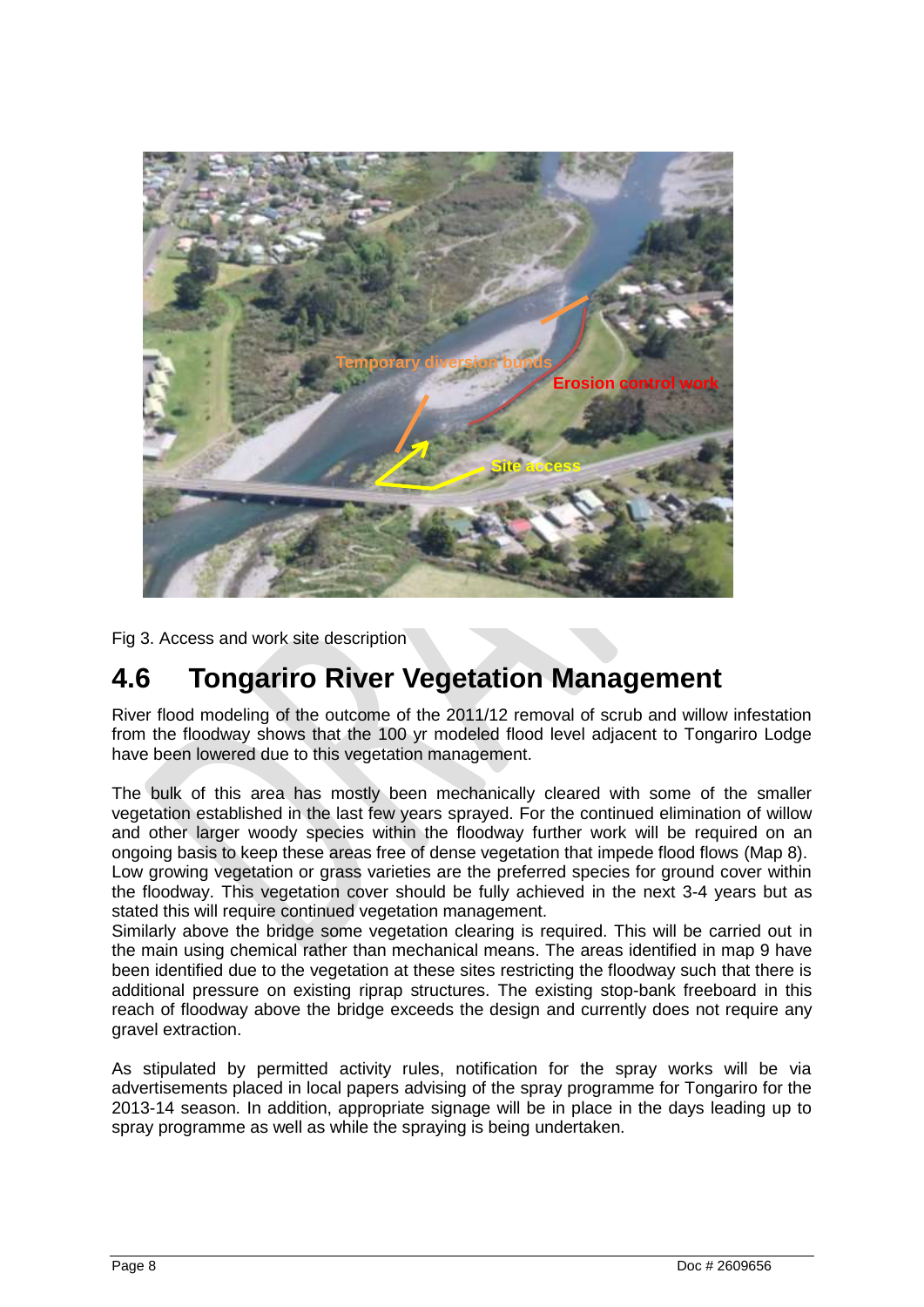

Fig 3. Access and work site description

## <span id="page-15-0"></span>**4.6 Tongariro River Vegetation Management**

River flood modeling of the outcome of the 2011/12 removal of scrub and willow infestation from the floodway shows that the 100 yr modeled flood level adjacent to Tongariro Lodge have been lowered due to this vegetation management.

The bulk of this area has mostly been mechanically cleared with some of the smaller vegetation established in the last few years sprayed. For the continued elimination of willow and other larger woody species within the floodway further work will be required on an ongoing basis to keep these areas free of dense vegetation that impede flood flows (Map 8). Low growing vegetation or grass varieties are the preferred species for ground cover within the floodway. This vegetation cover should be fully achieved in the next 3-4 years but as stated this will require continued vegetation management.

Similarly above the bridge some vegetation clearing is required. This will be carried out in the main using chemical rather than mechanical means. The areas identified in map 9 have been identified due to the vegetation at these sites restricting the floodway such that there is additional pressure on existing riprap structures. The existing stop-bank freeboard in this reach of floodway above the bridge exceeds the design and currently does not require any gravel extraction.

As stipulated by permitted activity rules, notification for the spray works will be via advertisements placed in local papers advising of the spray programme for Tongariro for the 2013-14 season. In addition, appropriate signage will be in place in the days leading up to spray programme as well as while the spraying is being undertaken.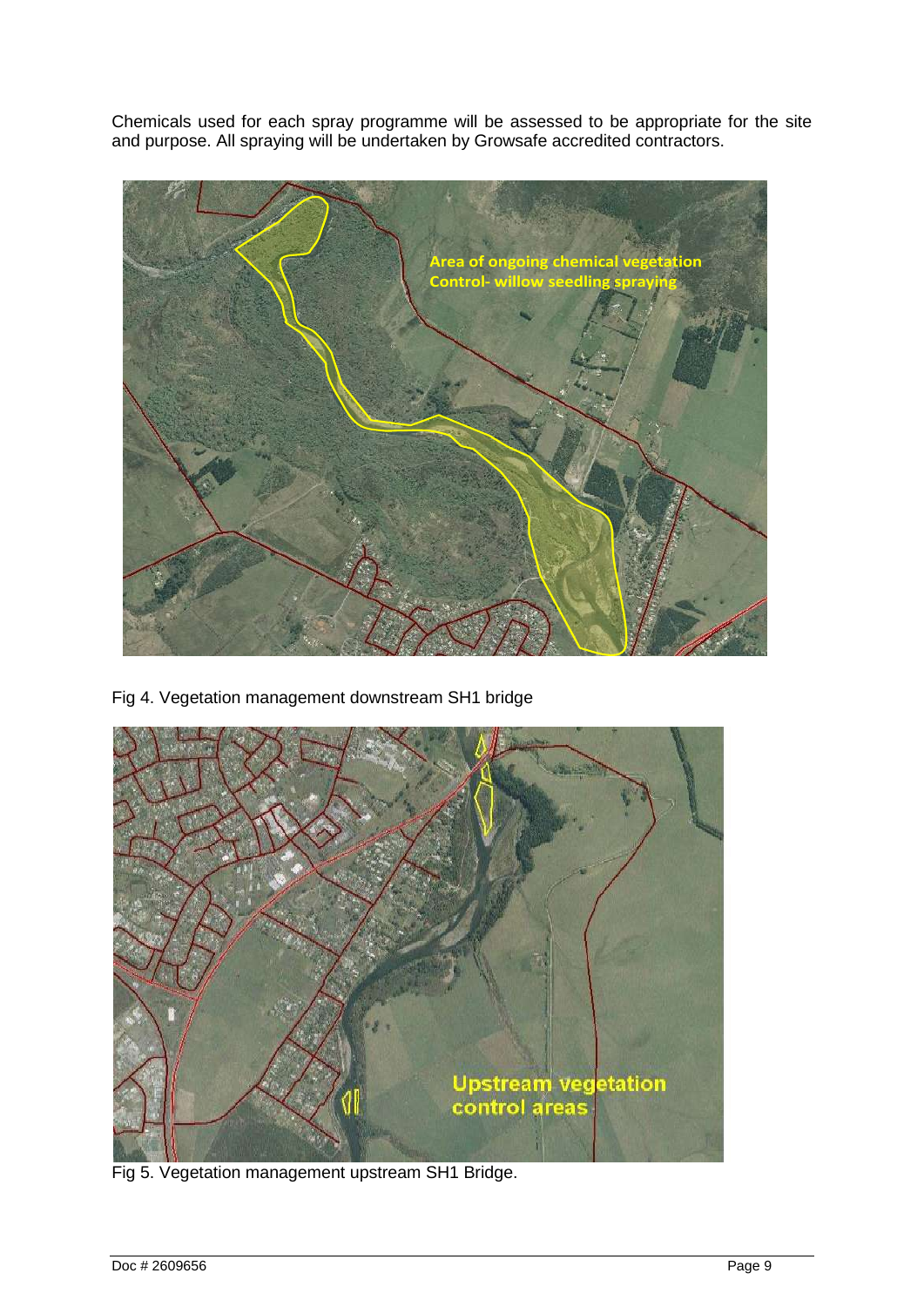Chemicals used for each spray programme will be assessed to be appropriate for the site and purpose. All spraying will be undertaken by Growsafe accredited contractors.



Fig 4. Vegetation management downstream SH1 bridge



Fig 5. Vegetation management upstream SH1 Bridge.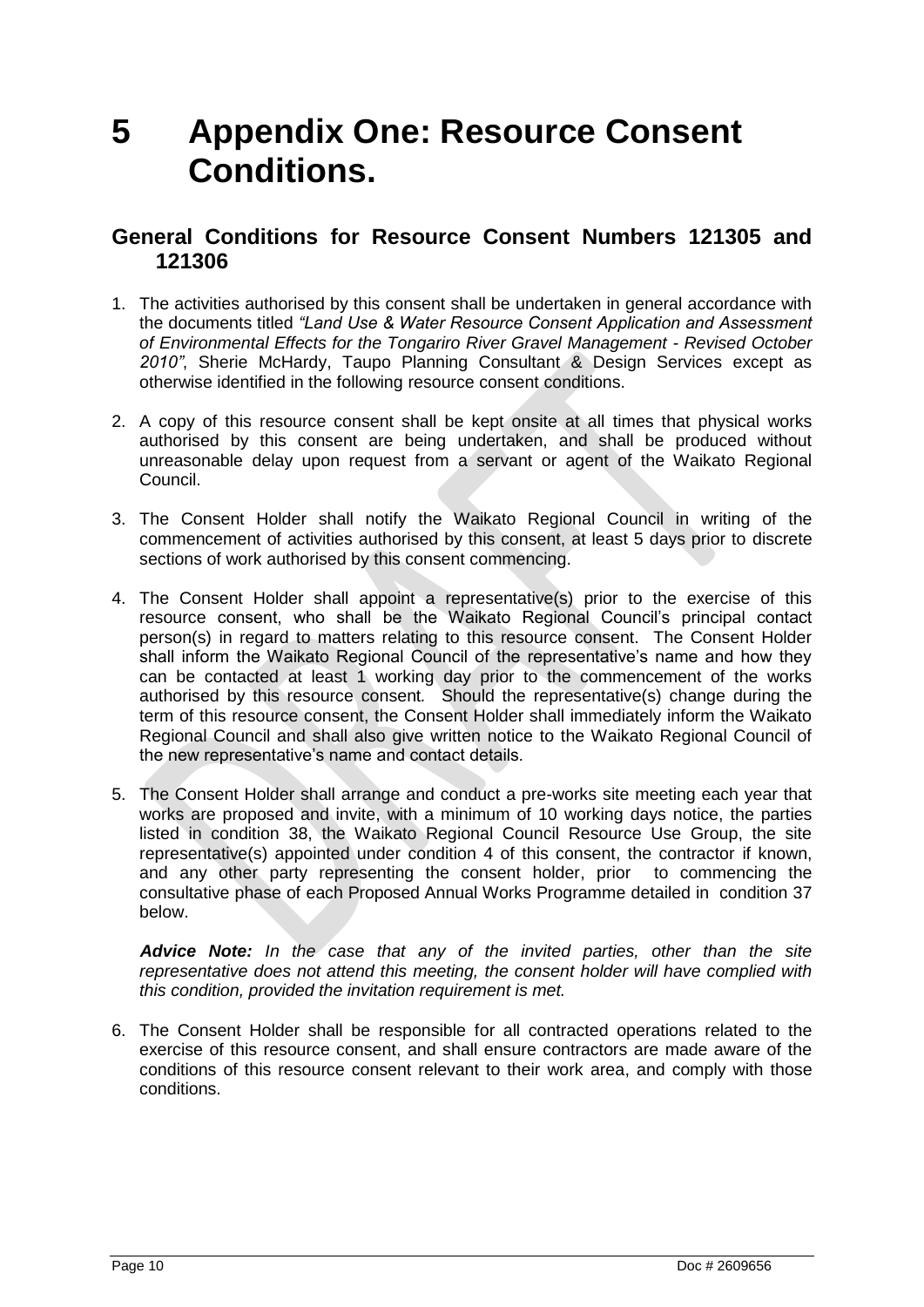## <span id="page-17-0"></span>**5 Appendix One: Resource Consent Conditions.**

### **General Conditions for Resource Consent Numbers 121305 and 121306**

- 1. The activities authorised by this consent shall be undertaken in general accordance with the documents titled *"Land Use & Water Resource Consent Application and Assessment of Environmental Effects for the Tongariro River Gravel Management - Revised October 2010"*, Sherie McHardy, Taupo Planning Consultant & Design Services except as otherwise identified in the following resource consent conditions.
- 2. A copy of this resource consent shall be kept onsite at all times that physical works authorised by this consent are being undertaken, and shall be produced without unreasonable delay upon request from a servant or agent of the Waikato Regional Council.
- 3. The Consent Holder shall notify the Waikato Regional Council in writing of the commencement of activities authorised by this consent, at least 5 days prior to discrete sections of work authorised by this consent commencing.
- 4. The Consent Holder shall appoint a representative(s) prior to the exercise of this resource consent, who shall be the Waikato Regional Council"s principal contact person(s) in regard to matters relating to this resource consent. The Consent Holder shall inform the Waikato Regional Council of the representative's name and how they can be contacted at least 1 working day prior to the commencement of the works authorised by this resource consent*.* Should the representative(s) change during the term of this resource consent, the Consent Holder shall immediately inform the Waikato Regional Council and shall also give written notice to the Waikato Regional Council of the new representative's name and contact details.
- 5. The Consent Holder shall arrange and conduct a pre-works site meeting each year that works are proposed and invite, with a minimum of 10 working days notice, the parties listed in condition 38, the Waikato Regional Council Resource Use Group, the site representative(s) appointed under condition 4 of this consent, the contractor if known, and any other party representing the consent holder, prior to commencing the consultative phase of each Proposed Annual Works Programme detailed in condition 37 below.

 *Advice Note: In the case that any of the invited parties, other than the site representative does not attend this meeting, the consent holder will have complied with this condition, provided the invitation requirement is met.* 

6. The Consent Holder shall be responsible for all contracted operations related to the exercise of this resource consent, and shall ensure contractors are made aware of the conditions of this resource consent relevant to their work area, and comply with those conditions.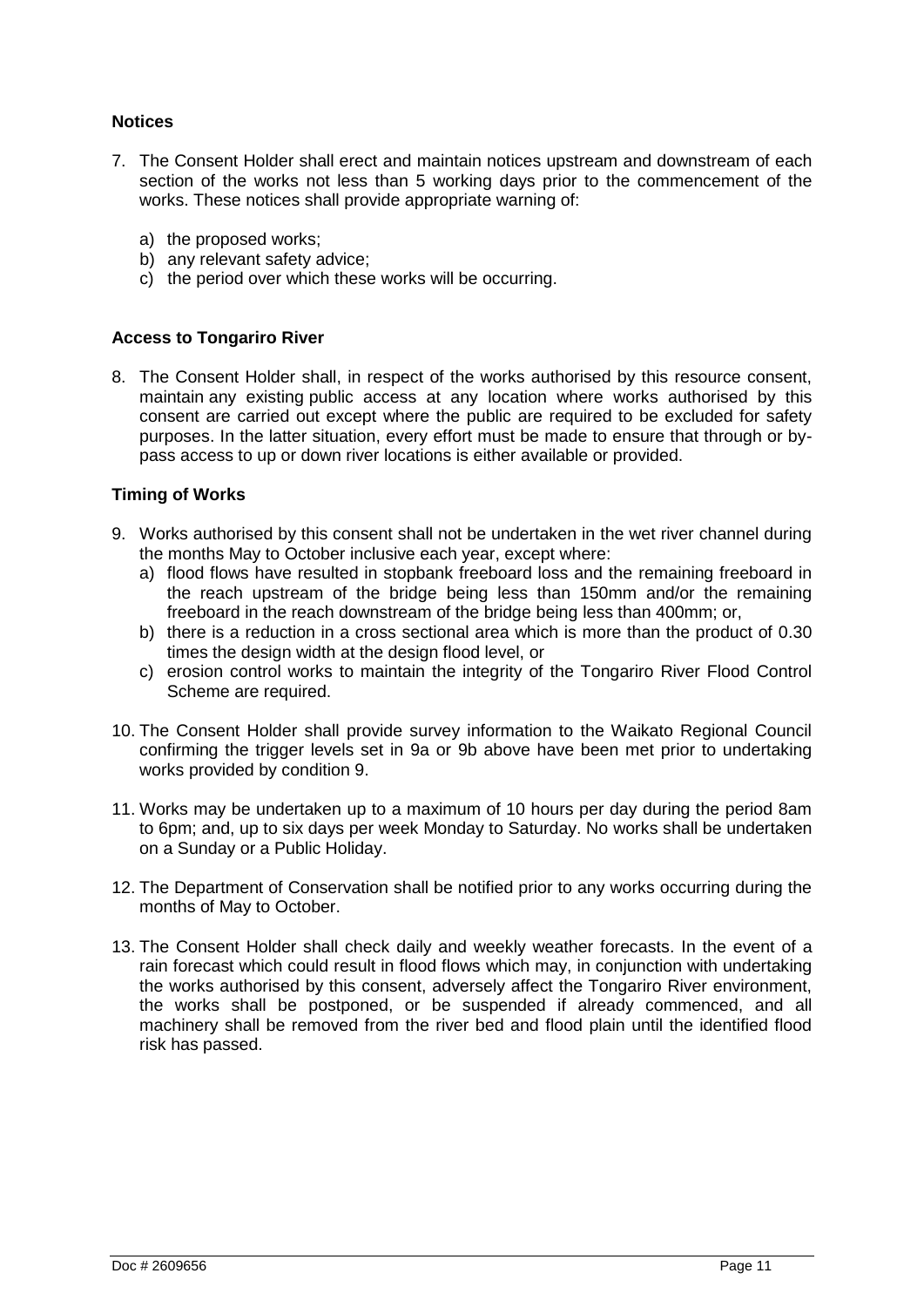### **Notices**

- 7. The Consent Holder shall erect and maintain notices upstream and downstream of each section of the works not less than 5 working days prior to the commencement of the works. These notices shall provide appropriate warning of:
	- a) the proposed works;
	- b) any relevant safety advice;
	- c) the period over which these works will be occurring.

### **Access to Tongariro River**

8. The Consent Holder shall, in respect of the works authorised by this resource consent, maintain any existing public access at any location where works authorised by this consent are carried out except where the public are required to be excluded for safety purposes. In the latter situation, every effort must be made to ensure that through or bypass access to up or down river locations is either available or provided.

### **Timing of Works**

- 9. Works authorised by this consent shall not be undertaken in the wet river channel during the months May to October inclusive each year, except where:
	- a) flood flows have resulted in stopbank freeboard loss and the remaining freeboard in the reach upstream of the bridge being less than 150mm and/or the remaining freeboard in the reach downstream of the bridge being less than 400mm; or,
	- b) there is a reduction in a cross sectional area which is more than the product of 0.30 times the design width at the design flood level, or
	- c) erosion control works to maintain the integrity of the Tongariro River Flood Control Scheme are required.
- 10. The Consent Holder shall provide survey information to the Waikato Regional Council confirming the trigger levels set in 9a or 9b above have been met prior to undertaking works provided by condition 9.
- 11. Works may be undertaken up to a maximum of 10 hours per day during the period 8am to 6pm; and, up to six days per week Monday to Saturday. No works shall be undertaken on a Sunday or a Public Holiday.
- 12. The Department of Conservation shall be notified prior to any works occurring during the months of May to October.
- 13. The Consent Holder shall check daily and weekly weather forecasts. In the event of a rain forecast which could result in flood flows which may, in conjunction with undertaking the works authorised by this consent, adversely affect the Tongariro River environment, the works shall be postponed, or be suspended if already commenced, and all machinery shall be removed from the river bed and flood plain until the identified flood risk has passed.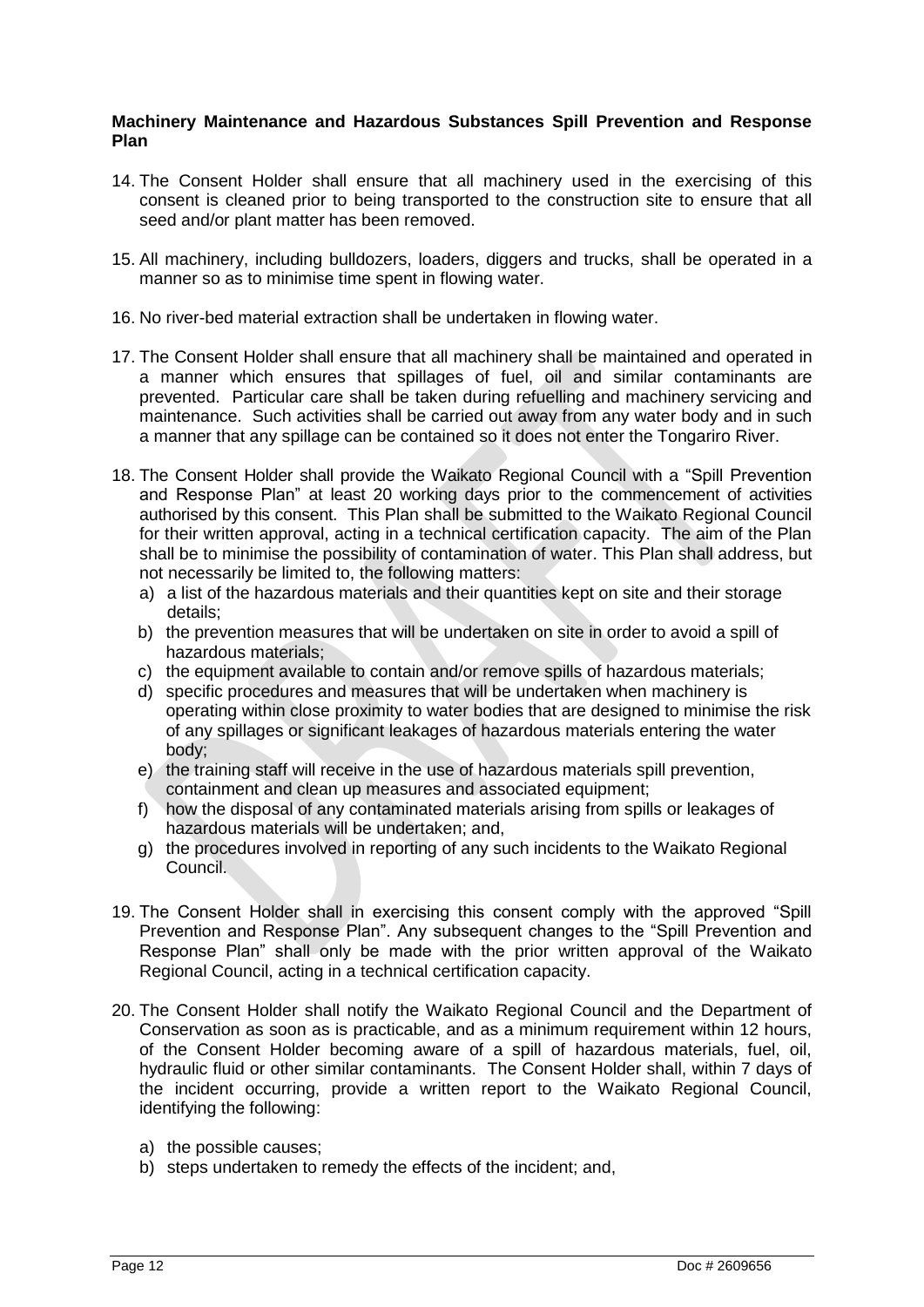### **Machinery Maintenance and Hazardous Substances Spill Prevention and Response Plan**

- 14. The Consent Holder shall ensure that all machinery used in the exercising of this consent is cleaned prior to being transported to the construction site to ensure that all seed and/or plant matter has been removed.
- 15. All machinery, including bulldozers, loaders, diggers and trucks, shall be operated in a manner so as to minimise time spent in flowing water.
- 16. No river-bed material extraction shall be undertaken in flowing water.
- 17. The Consent Holder shall ensure that all machinery shall be maintained and operated in a manner which ensures that spillages of fuel, oil and similar contaminants are prevented. Particular care shall be taken during refuelling and machinery servicing and maintenance. Such activities shall be carried out away from any water body and in such a manner that any spillage can be contained so it does not enter the Tongariro River.
- 18. The Consent Holder shall provide the Waikato Regional Council with a "Spill Prevention and Response Plan" at least 20 working days prior to the commencement of activities authorised by this consent. This Plan shall be submitted to the Waikato Regional Council for their written approval, acting in a technical certification capacity. The aim of the Plan shall be to minimise the possibility of contamination of water. This Plan shall address, but not necessarily be limited to, the following matters:
	- a) a list of the hazardous materials and their quantities kept on site and their storage details;
	- b) the prevention measures that will be undertaken on site in order to avoid a spill of hazardous materials;
	- c) the equipment available to contain and/or remove spills of hazardous materials;
	- d) specific procedures and measures that will be undertaken when machinery is operating within close proximity to water bodies that are designed to minimise the risk of any spillages or significant leakages of hazardous materials entering the water body;
	- e) the training staff will receive in the use of hazardous materials spill prevention, containment and clean up measures and associated equipment;
	- f) how the disposal of any contaminated materials arising from spills or leakages of hazardous materials will be undertaken; and,
	- g) the procedures involved in reporting of any such incidents to the Waikato Regional Council.
- 19. The Consent Holder shall in exercising this consent comply with the approved "Spill Prevention and Response Plan". Any subsequent changes to the "Spill Prevention and Response Plan" shall only be made with the prior written approval of the Waikato Regional Council, acting in a technical certification capacity.
- 20. The Consent Holder shall notify the Waikato Regional Council and the Department of Conservation as soon as is practicable, and as a minimum requirement within 12 hours, of the Consent Holder becoming aware of a spill of hazardous materials, fuel, oil, hydraulic fluid or other similar contaminants. The Consent Holder shall, within 7 days of the incident occurring, provide a written report to the Waikato Regional Council, identifying the following:
	- a) the possible causes;
	- b) steps undertaken to remedy the effects of the incident; and,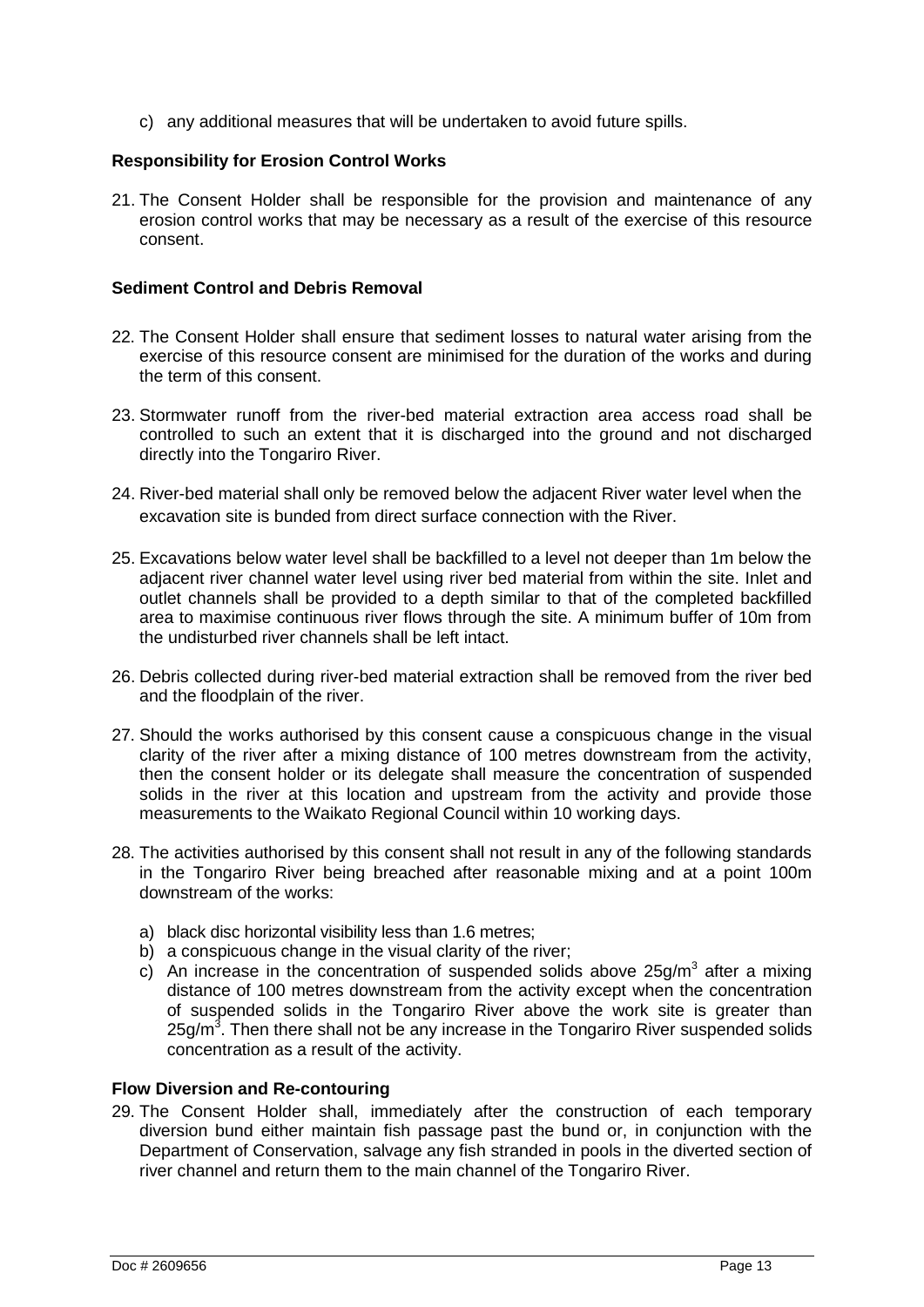c) any additional measures that will be undertaken to avoid future spills.

### **Responsibility for Erosion Control Works**

21. The Consent Holder shall be responsible for the provision and maintenance of any erosion control works that may be necessary as a result of the exercise of this resource consent.

#### **Sediment Control and Debris Removal**

- 22. The Consent Holder shall ensure that sediment losses to natural water arising from the exercise of this resource consent are minimised for the duration of the works and during the term of this consent.
- 23. Stormwater runoff from the river-bed material extraction area access road shall be controlled to such an extent that it is discharged into the ground and not discharged directly into the Tongariro River.
- 24. River-bed material shall only be removed below the adjacent River water level when the excavation site is bunded from direct surface connection with the River.
- 25. Excavations below water level shall be backfilled to a level not deeper than 1m below the adjacent river channel water level using river bed material from within the site. Inlet and outlet channels shall be provided to a depth similar to that of the completed backfilled area to maximise continuous river flows through the site. A minimum buffer of 10m from the undisturbed river channels shall be left intact.
- 26. Debris collected during river-bed material extraction shall be removed from the river bed and the floodplain of the river.
- 27. Should the works authorised by this consent cause a conspicuous change in the visual clarity of the river after a mixing distance of 100 metres downstream from the activity, then the consent holder or its delegate shall measure the concentration of suspended solids in the river at this location and upstream from the activity and provide those measurements to the Waikato Regional Council within 10 working days.
- 28. The activities authorised by this consent shall not result in any of the following standards in the Tongariro River being breached after reasonable mixing and at a point 100m downstream of the works:
	- a) black disc horizontal visibility less than 1.6 metres;
	- b) a conspicuous change in the visual clarity of the river;
	- c) An increase in the concentration of suspended solids above  $25g/m<sup>3</sup>$  after a mixing distance of 100 metres downstream from the activity except when the concentration of suspended solids in the Tongariro River above the work site is greater than  $25$ g/m<sup>3</sup>. Then there shall not be any increase in the Tongariro River suspended solids concentration as a result of the activity.

#### **Flow Diversion and Re-contouring**

29. The Consent Holder shall, immediately after the construction of each temporary diversion bund either maintain fish passage past the bund or, in conjunction with the Department of Conservation, salvage any fish stranded in pools in the diverted section of river channel and return them to the main channel of the Tongariro River.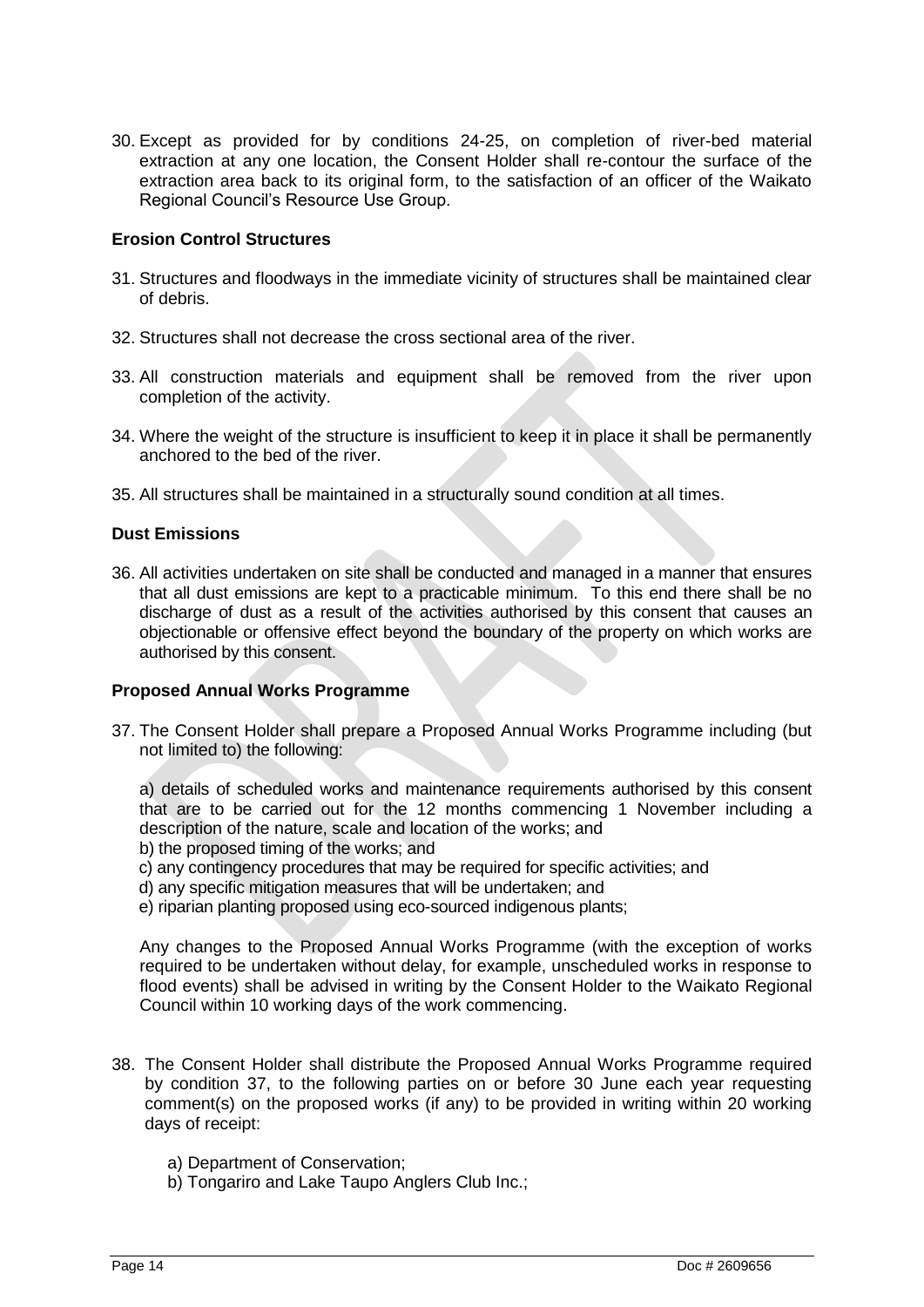30. Except as provided for by conditions 24-25, on completion of river-bed material extraction at any one location, the Consent Holder shall re-contour the surface of the extraction area back to its original form, to the satisfaction of an officer of the Waikato Regional Council"s Resource Use Group.

### **Erosion Control Structures**

- 31. Structures and floodways in the immediate vicinity of structures shall be maintained clear of debris.
- 32. Structures shall not decrease the cross sectional area of the river.
- 33. All construction materials and equipment shall be removed from the river upon completion of the activity.
- 34. Where the weight of the structure is insufficient to keep it in place it shall be permanently anchored to the bed of the river.
- 35. All structures shall be maintained in a structurally sound condition at all times.

### **Dust Emissions**

36. All activities undertaken on site shall be conducted and managed in a manner that ensures that all dust emissions are kept to a practicable minimum. To this end there shall be no discharge of dust as a result of the activities authorised by this consent that causes an objectionable or offensive effect beyond the boundary of the property on which works are authorised by this consent.

### **Proposed Annual Works Programme**

37. The Consent Holder shall prepare a Proposed Annual Works Programme including (but not limited to) the following:

a) details of scheduled works and maintenance requirements authorised by this consent that are to be carried out for the 12 months commencing 1 November including a description of the nature, scale and location of the works; and

- b) the proposed timing of the works; and
- c) any contingency procedures that may be required for specific activities; and
- d) any specific mitigation measures that will be undertaken; and
- e) riparian planting proposed using eco-sourced indigenous plants;

Any changes to the Proposed Annual Works Programme (with the exception of works required to be undertaken without delay, for example, unscheduled works in response to flood events) shall be advised in writing by the Consent Holder to the Waikato Regional Council within 10 working days of the work commencing.

- 38. The Consent Holder shall distribute the Proposed Annual Works Programme required by condition 37, to the following parties on or before 30 June each year requesting comment(s) on the proposed works (if any) to be provided in writing within 20 working days of receipt:
	- a) Department of Conservation;
	- b) Tongariro and Lake Taupo Anglers Club Inc.;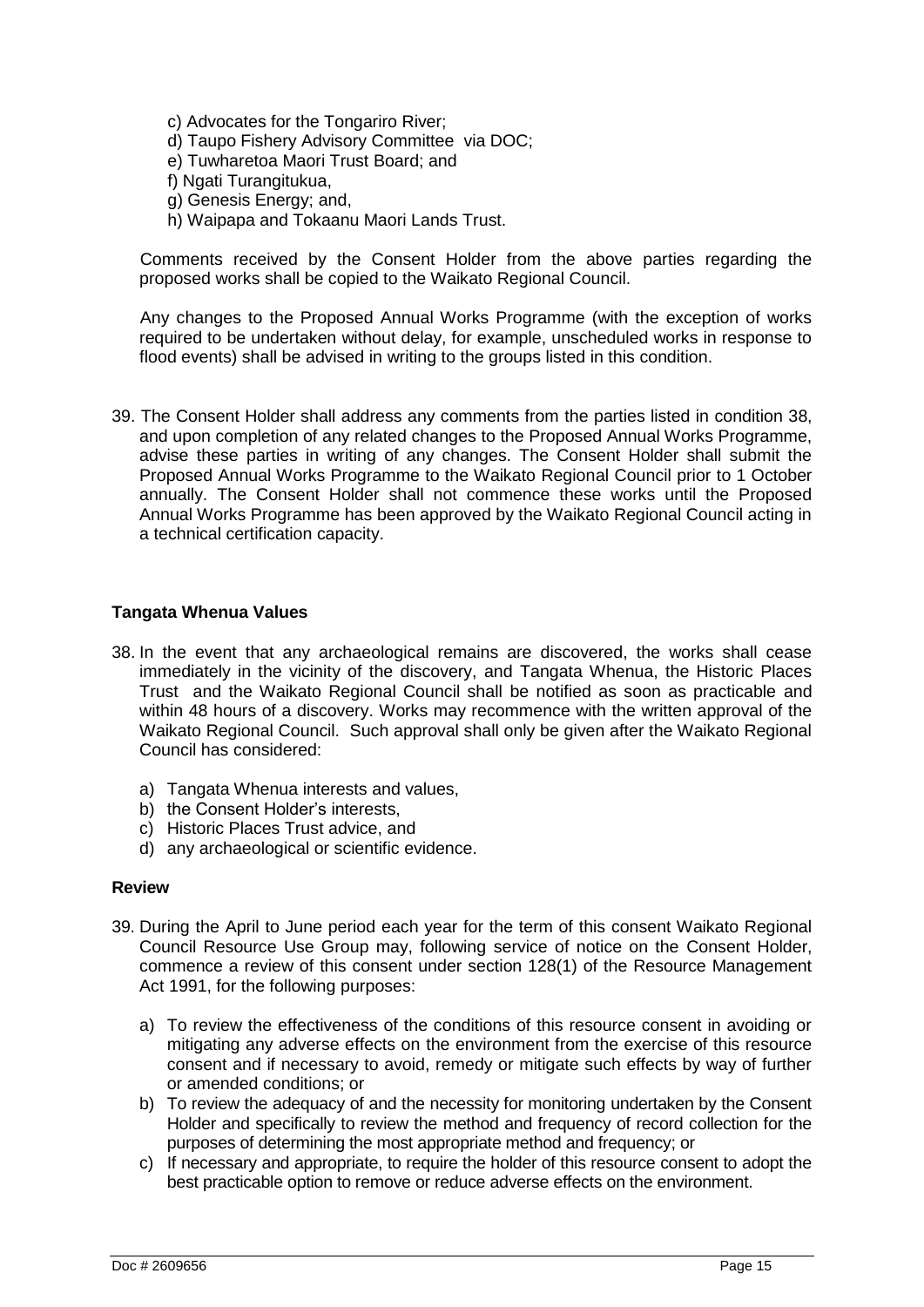- c) Advocates for the Tongariro River;
- d) Taupo Fishery Advisory Committee via DOC;
- e) Tuwharetoa Maori Trust Board; and
- f) Ngati Turangitukua,
- g) Genesis Energy; and,
- h) Waipapa and Tokaanu Maori Lands Trust.

 Comments received by the Consent Holder from the above parties regarding the proposed works shall be copied to the Waikato Regional Council.

 Any changes to the Proposed Annual Works Programme (with the exception of works required to be undertaken without delay, for example, unscheduled works in response to flood events) shall be advised in writing to the groups listed in this condition.

39. The Consent Holder shall address any comments from the parties listed in condition 38, and upon completion of any related changes to the Proposed Annual Works Programme, advise these parties in writing of any changes. The Consent Holder shall submit the Proposed Annual Works Programme to the Waikato Regional Council prior to 1 October annually. The Consent Holder shall not commence these works until the Proposed Annual Works Programme has been approved by the Waikato Regional Council acting in a technical certification capacity.

### **Tangata Whenua Values**

- 38. In the event that any archaeological remains are discovered, the works shall cease immediately in the vicinity of the discovery, and Tangata Whenua, the Historic Places Trust and the Waikato Regional Council shall be notified as soon as practicable and within 48 hours of a discovery. Works may recommence with the written approval of the Waikato Regional Council. Such approval shall only be given after the Waikato Regional Council has considered:
	- a) Tangata Whenua interests and values,
	- b) the Consent Holder's interests.
	- c) Historic Places Trust advice, and
	- d) any archaeological or scientific evidence.

### **Review**

- 39. During the April to June period each year for the term of this consent Waikato Regional Council Resource Use Group may, following service of notice on the Consent Holder, commence a review of this consent under section 128(1) of the Resource Management Act 1991, for the following purposes:
	- a) To review the effectiveness of the conditions of this resource consent in avoiding or mitigating any adverse effects on the environment from the exercise of this resource consent and if necessary to avoid, remedy or mitigate such effects by way of further or amended conditions; or
	- b) To review the adequacy of and the necessity for monitoring undertaken by the Consent Holder and specifically to review the method and frequency of record collection for the purposes of determining the most appropriate method and frequency; or
	- c) If necessary and appropriate, to require the holder of this resource consent to adopt the best practicable option to remove or reduce adverse effects on the environment.